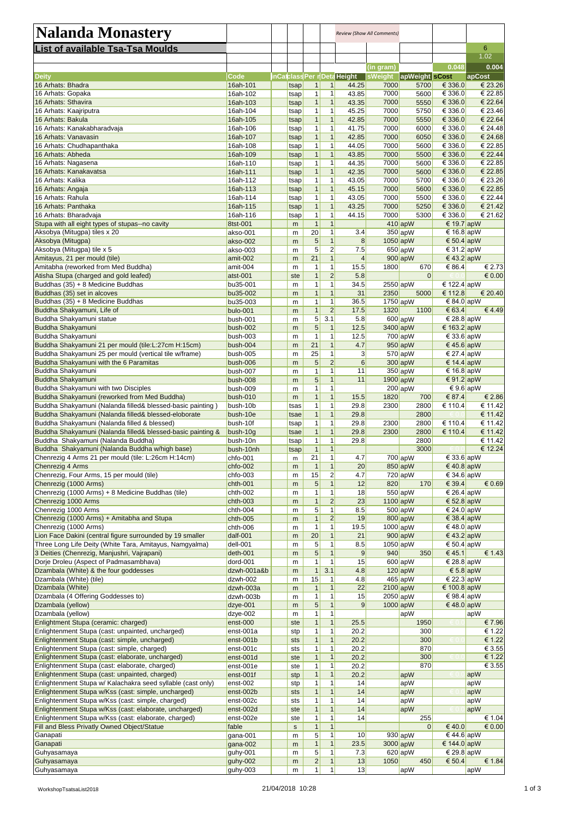| <b>Nalanda Monastery</b>                                                                           |                         |               |                     |                              |                                    | <b>Review (Show All Comments)</b> |                                |                          |                            |
|----------------------------------------------------------------------------------------------------|-------------------------|---------------|---------------------|------------------------------|------------------------------------|-----------------------------------|--------------------------------|--------------------------|----------------------------|
| List of available Tsa-Tsa Moulds                                                                   |                         |               |                     |                              |                                    |                                   |                                |                          | 6                          |
|                                                                                                    |                         |               |                     |                              |                                    |                                   |                                |                          | 1.02                       |
| <b>Deity</b>                                                                                       | <b>Code</b>             |               |                     |                              | <b>inCatclass Per nDeta Height</b> | (in gram)<br>sWeight              | apWeight sCost                 | 0.048                    | 0.004<br>apCost            |
| 16 Arhats: Bhadra                                                                                  | 16ah-101                | tsap          |                     | 1 <sup>1</sup>               | 44.25                              | 7000                              | 5700                           | € 336.0                  | € 23.26                    |
| 16 Arhats: Gopaka                                                                                  | 16ah-102                | tsap          | 1                   | 1                            | 43.85                              | 7000                              | 5600                           | € 336.0                  | € 22.85                    |
| 16 Arhats: Sthavira                                                                                | 16ah-103                | tsap          | $\mathbf{1}$        | $\mathbf{1}$                 | 43.35                              | 7000                              | 5550                           | € 336.0                  | € 22.64                    |
| 16 Arhats: Kaajriputra                                                                             | 16ah-104                | tsap          | 1                   | 1                            | 45.25                              | 7000                              | 5750                           | € 336.0                  | € 23.46                    |
| 16 Arhats: Bakula                                                                                  | 16ah-105                | tsap          | $\mathbf{1}$        | $\mathbf{1}$<br>1            | 42.85                              | 7000                              | 5550                           | € 336.0                  | € 22.64                    |
| 16 Arhats: Kanakabharadvaja<br>16 Arhats: Vanavasin                                                | 16ah-106<br>16ah-107    | tsap<br>tsap  | $\mathbf{1}$        | 1                            | 41.75<br>42.85                     | 7000<br>7000                      | 6000<br>6050                   | € 336.0<br>€ 336.0       | € 24.48<br>€ 24.68         |
| 16 Arhats: Chudhapanthaka                                                                          | 16ah-108                | tsap          | 1                   | 1                            | 44.05                              | 7000                              | 5600                           | € 336.0                  | € 22.85                    |
| 16 Arhats: Abheda                                                                                  | 16ah-109                | tsap          | 1                   | 1                            | 43.85                              | 7000                              | 5500                           | € 336.0                  | € 22.44                    |
| 16 Arhats: Nagasena                                                                                | 16ah-110                | tsap          | 1                   | 1                            | 44.35                              | 7000                              | 5600                           | € 336.0                  | € 22.85                    |
| 16 Arhats: Kanakavatsa                                                                             | 16ah-111                | tsap          | $\mathbf{1}$        | 1                            | 42.35                              | 7000                              | 5600                           | € 336.0                  | € 22.85                    |
| 16 Arhats: Kalika                                                                                  | 16ah-112                | tsap          | 1                   | 1                            | 43.05                              | 7000                              | 5700                           | € 336.0                  | € 23.26                    |
| 16 Arhats: Angaja                                                                                  | 16ah-113                | tsap          | $\mathbf{1}$        | $\mathbf{1}$                 | 45.15                              | 7000                              | 5600                           | € 336.0                  | € 22.85                    |
| 16 Arhats: Rahula                                                                                  | 16ah-114                | tsap          | 1                   | 1                            | 43.05                              | 7000                              | 5500                           | € 336.0                  | € 22.44                    |
| 16 Arhats: Panthaka<br>16 Arhats: Bharadvaja                                                       | 16ah-115<br>16ah-116    | tsap<br>tsapl | 1<br>1              | 1<br>1                       | 43.25<br>44.15                     | 7000<br>7000                      | 5250<br>5300                   | € 336.0<br>€ 336.0       | € 21.42<br>€ 21.62         |
| Stupa with all eight types of stupas--no cavity                                                    | 8tst-001                | m             | $\mathbf{1}$        | 1                            |                                    |                                   | $410$ apW                      | € 19.7 apW               |                            |
| Aksobya (Mitugpa) tiles x 20                                                                       | akso-001                | m             | 20                  | $\mathbf{1}$                 | 3.4                                |                                   | 350 apW                        | € 16.8 apW               |                            |
| Aksobya (Mitugpa)                                                                                  | akso-002                | m             | 5                   | $\mathbf{1}$                 | 8                                  |                                   | $1050$ <sub>ap</sub> W         | € 50.4 apW               |                            |
| Aksobya (Mitugpa) tile x 5                                                                         | akso-003                | m             | 5                   | $\overline{2}$               | 7.5                                |                                   | $650$ apW                      | € 31.2 apW               |                            |
| Amitayus, 21 per mould (tile)                                                                      | amit-002                | m             | 21                  | $\mathbf{1}$                 | 4                                  |                                   | $900$ <sub>ap</sub> W          | € 43.2 apW               |                            |
| Amitabha (reworked from Med Buddha)                                                                | amit-004                | m             | 1                   | $\mathbf{1}$                 | 15.5                               | 1800                              | 670                            | € 86.4                   | € 2.73                     |
| Atisha Stupa (charged and gold leafed)                                                             | atst-001                | ste           |                     | $\overline{2}$               | 5.8                                |                                   | $\overline{0}$                 |                          | $\epsilon$ 0.00            |
| Buddhas (35) + 8 Medicine Buddhas                                                                  | bu35-001                | m             | 1                   | 1                            | 34.5                               |                                   | $2550$ apW                     | € 122.4 apW              |                            |
| Buddhas (35) set in alcoves                                                                        | bu35-002                | m             | 1<br>1              | $\mathbf{1}$<br>$\mathbf{1}$ | 31<br>36.5                         | 2350                              | 5000                           | € 112.8                  | € 20.40                    |
| Buddhas (35) + 8 Medicine Buddhas<br>Buddha Shakyamuni, Life of                                    | bu35-003<br>bulo-001    | m<br>m        | $\mathbf{1}$        | $\overline{2}$               | 17.5                               | 1320                              | $1750$ <sub>ap</sub> W<br>1100 | € 84.0 apW<br>€ 63.4     | €4.49                      |
| Buddha Shakyamuni statue                                                                           | bush-001                | m             | 5                   | 3.1                          | 5.8                                |                                   | $600$ apW                      | € 28.8 apW               |                            |
| Buddha Shakyamuni                                                                                  | bush-002                | ${\sf m}$     | 5 <sup>1</sup>      | 1                            | 12.5                               |                                   | 3400 apW                       | € 163.2 apW              |                            |
| Buddha Shakyamuni                                                                                  | bush-003                | m             | 1                   | $\mathbf{1}$                 | 12.5                               |                                   | $700$ apW                      | € 33.6 $apW$             |                            |
| Buddha Shakyamuni 21 per mould (tile: L: 27cm H: 15cm)                                             | bush-004                | m             | 21                  | $\mathbf{1}$                 | 4.7                                |                                   | $950$ <sub>ap</sub> W          | € 45.6 apW               |                            |
| Buddha Shakyamuni 25 per mould (vertical tile w/frame)                                             | bush-005                | m             | 25                  |                              | $\mathbf{3}$                       |                                   | $570$ apW                      | € 27.4 $apW$             |                            |
| Buddha Shakyamuni with the 6 Paramitas                                                             | bush-006                | m             | 5                   | $\overline{2}$               | 6                                  |                                   | $300$ apW                      | € 14.4 apW               |                            |
| Buddha Shakyamuni                                                                                  | bush-007                | m             | 1                   | 1                            | 11                                 |                                   | $350$ apW                      | € 16.8 apW               |                            |
| Buddha Shakyamuni                                                                                  | bush-008                | m             | 5                   |                              | 11                                 |                                   | $1900$ apW                     | € 91.2 $apW$             |                            |
| Buddha Shakyamuni with two Disciples<br>Buddha Shakyamuni (reworked from Med Buddha)               | bush-009<br>bush-010    | m<br>m        | $\mathbf{1}$        | 1                            | 15.5                               | 1820                              | $200$ apW<br>700               | € 9.6 apW<br>€ 87.4      | € 2.86                     |
| Buddha Shakyamuni (Nalanda filled& blessed-basic painting)                                         | bush-10b                | tsas          | 1                   | 1                            | 29.8                               | 2300                              | 2800                           | € 110.4                  | € 11.42                    |
| Buddha Shakyamuni (Nalanda filled& blessed-eloborate                                               | bush-10e                | tsae          | 1                   | 1                            | 29.8                               |                                   | 2800                           |                          | € 11.42                    |
| Buddha Shakyamuni (Nalanda filled & blessed)                                                       | bush-10f                | tsap          | 1                   | $\mathbf 1$                  | 29.8                               | 2300                              | 2800                           | € 110.4                  | € 11.42                    |
| Buddha Shakyamuni (Nalanda filled& blessed-basic painting &                                        | bush-10g                | tsae          |                     | 1                            | 29.8                               | 2300                              | 2800                           | € 110.4                  | € 11.42                    |
| Buddha Shakyamuni (Nalanda Buddha)                                                                 | bush-10n                | tsap          | 1                   | 1                            | 29.8                               |                                   | 2800                           |                          | € 11.42                    |
| Buddha Shakyamuni (Nalanda Buddha w/high base)                                                     | bush-10nh               | tsap          |                     |                              |                                    |                                   | 3000                           |                          | € 12.24                    |
| Chenrezig 4 Arms 21 per mould (tile: L:26cm H:14cm)                                                | chfo-001                | m             | 21                  | $\mathbf{1}$                 | 4.7                                |                                   | $700$ <sub>ap</sub> W          | € 33.6 apW               |                            |
| Chenrezig 4 Arms<br>Chenrezig, Four Arms, 15 per mould (tile)                                      | chfo-002<br>chfo-003    | m             | $\mathbf 1$<br>15   | $\mathbf{1}$<br>$\mathbf{2}$ | 20<br>4.7                          |                                   | $850$ apW<br>$720$ apW         | € 40.8 apW<br>€ 34.6 apW |                            |
| Chenrezig (1000 Arms)                                                                              | chth-001                | m<br>m        | 5 <sup>5</sup>      |                              | 12                                 | 820                               | <b>170</b>                     | € 39.4                   | € 0.69                     |
| Chenrezig (1000 Arms) + 8 Medicine Buddhas (tile)                                                  | chth-002                | m             | $\mathbf{1}$        | $\mathbf{1}$                 | 18                                 |                                   | $550$ apW                      | € 26.4 apW               |                            |
| Chenrezig 1000 Arms                                                                                | $chth-003$              | m             | $\mathbf{1}$        | $\overline{2}$               | 23                                 |                                   | $1100$ apW                     | € 52.8 apW               |                            |
| Chenrezig 1000 Arms                                                                                | chth-004                | m             | 5 <sup>2</sup>      | $\mathbf{1}$                 | 8.5                                |                                   | $500$ apW                      | € 24.0 apW               |                            |
| Chenrezig (1000 Arms) + Amitabha and Stupa                                                         | chth-005                | m             |                     | $\overline{2}$               | 19                                 |                                   | $800$ apW                      | € 38.4 $apW$             |                            |
| Chenrezig (1000 Arms)                                                                              | chth-006                | m             | $\mathbf{1}$        | 1                            | 19.5                               |                                   | $1000$ apW                     | € 48.0 apW               |                            |
| Lion Face Dakini (central figure surrounded by 19 smaller                                          | dalf-001                | m             | 20                  | $\mathbf{1}$                 | 21                                 |                                   | $900$ apW                      | € 43.2 apW               |                            |
| Three Long Life Deity (White Tara, Amitayus, Namgyalma)                                            | dell-001                | m             | 5                   |                              | 8.5                                |                                   | $1050$ apW                     | € 50.4 apW               |                            |
| 3 Deities (Chenrezig, Manjushri, Vajrapani)                                                        | deth-001                | m             | 5 <sup>1</sup>      |                              | 9                                  | 940                               | 350                            | € 45.1                   | € 1.43                     |
| Dorje Droleu (Aspect of Padmasambhava)<br>Dzambala (White) & the four goddesses                    | dord-001<br>dzwh-001a&b | m<br>m        |                     | 3.1                          | 15<br>4.8                          |                                   | $600$ apW<br>$120$ apW         | € 28.8 apW<br>€ 5.8 apW  |                            |
| Dzambala (White) (tile)                                                                            | dzwh-002                | m             | 15                  | 1                            | 4.8                                |                                   | $465$ apW                      | € 22.3 apW               |                            |
| Dzambala (White)                                                                                   | dzwh-003a               | m             | $\mathbf{1}$        | $\mathbf{1}$                 | 22                                 |                                   | $2100$ apW                     | € 100.8 apW              |                            |
| Dzambala (4 Offering Goddesses to)                                                                 | dzwh-003b               | m             | $\mathbf{1}$        | $\mathbf{1}$                 | 15                                 |                                   | $2050$ apW                     | € 98.4 apW               |                            |
| Dzambala (yellow)                                                                                  | dzye-001                | m             | 5 <sup>5</sup>      |                              | 9                                  |                                   | $1000$ apW                     | € 48.0 apW               |                            |
| Dzambala (yellow)                                                                                  | dzye-002                | m             | 1                   | 1                            |                                    |                                   | apW                            |                          | apW                        |
| Enlightment Stupa (ceramic: charged)                                                               | enst-000                | ste           | 1                   | 1                            | 25.5                               |                                   | 1950                           |                          | € 7.96                     |
| Enlightenment Stupa (cast: unpainted, uncharged)                                                   | enst-001a               | stp           | 1<br>$\overline{1}$ | 1                            | 20.2                               |                                   | 300                            |                          | € 1.22                     |
| Enlightenment Stupa (cast: simple, uncharged)                                                      | enst-001b               | sts           |                     | 1                            | 20.2                               |                                   | 300                            |                          | € 1.22                     |
| Enlightenment Stupa (cast: simple, charged)                                                        | enst-001c               | sts           |                     |                              | 20.2                               |                                   | 870                            |                          | $\overline{\epsilon}$ 3.55 |
| Enlightenment Stupa (cast: elaborate, uncharged)<br>Enlightenment Stupa (cast: elaborate, charged) | enst-001d               | ste           |                     | 1                            | 20.2<br>20.2                       |                                   | 300<br>870                     |                          | € 1.22<br>€ 3.55           |
| Enlightenment Stupa (cast: unpainted, charged)                                                     | enst-001e<br>enst-001f  | ste<br>stp    |                     | $\mathbf{1}$                 | 20.2                               |                                   | apW                            |                          | apW                        |
| Enlightenment Stupa w/ Kalachakra seed syllable (cast only)                                        | enst-002                | stp           |                     | 1                            | 14                                 |                                   | apW                            |                          | apW                        |
| Enlightenment Stupa w/Kss (cast: simple, uncharged)                                                | enst-002b               | sts           |                     | $\mathbf{1}$                 | 14                                 |                                   | apW                            |                          | apW                        |
| Enlightenment Stupa w/Kss (cast: simple, charged)                                                  | enst-002c               | sts           |                     |                              | 14                                 |                                   | apW                            |                          | apW                        |
| Enlightenment Stupa w/Kss (cast: elaborate, uncharged)                                             | enst-002d               | ste           |                     |                              | 14                                 |                                   | apW                            |                          | apW                        |
| Enlightenment Stupa w/Kss (cast: elaborate, charged)                                               | enst-002e               | ste           |                     |                              | 14                                 |                                   | 255                            |                          | € 1.04                     |
| Fill and Bless Privatly Owned Object/Statue                                                        | fable                   | S             |                     |                              |                                    |                                   | $\Omega$                       | € 40.0                   | $\epsilon$ 0.00            |
| Ganapati                                                                                           | gana-001                | m             | 5 <sup>2</sup>      |                              | 10 <sup>1</sup>                    |                                   | $930$ apW                      | € 44.6 apW               |                            |
| Ganapati                                                                                           | gana-002                | m             | $\mathbf{1}$        |                              | 23.5                               |                                   | $3000$ apW                     | € 144.0 apW              |                            |
| Guhyasamaya                                                                                        | guhy-001                | m             | 5 <sup>2</sup>      |                              | 7.3                                |                                   | $620$ apW                      | € 29.8 apW               |                            |
| Guhyasamaya                                                                                        | guhy-002                | m             | $\mathbf{2}$        | $\mathbf{1}$                 | 13                                 | 1050                              | 450                            | € 50.4                   | € 1.84                     |
| Guhyasamaya                                                                                        | guhy-003                | m             | 1                   | 1                            | 13                                 |                                   | apW                            |                          | apW                        |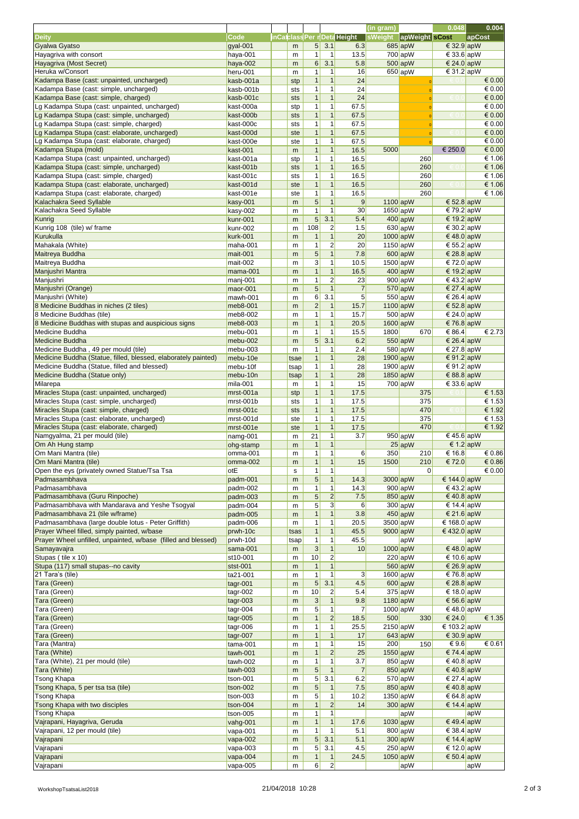|                                                                                  |                        |            |                              |                               |                              | (in gram)              |                        | 0.048                     | 0.004            |
|----------------------------------------------------------------------------------|------------------------|------------|------------------------------|-------------------------------|------------------------------|------------------------|------------------------|---------------------------|------------------|
| <b>Deity</b>                                                                     | <b>Code</b>            |            |                              |                               | inCatclass Per r Deta Height | sWeight                | apWeight sCost         |                           | apCost           |
| Gyalwa Gyatso                                                                    | gyal-001               | m          | 5 <sup>1</sup>               | 3.1                           | 6.3                          |                        | $685$ <sub>ap</sub> W  | € 32.9 apW                |                  |
| Hayagriva with consort                                                           | haya-001               | m          | 1                            | $\mathbf 1$                   | 13.5                         |                        | $700$ apW              | € 33.6 apW                |                  |
| Hayagriva (Most Secret)                                                          | haya-002               | m          | 6                            | 3.1                           | 5.8                          |                        | $500$ apW              | € 24.0 apW                |                  |
| Heruka w/Consort                                                                 | heru-001               | m          | 1                            | $\mathbf 1$                   | 16                           |                        | $650$ <sub>ap</sub> W  | € 31.2 $apW$              |                  |
| Kadampa Base (cast: unpainted, uncharged)                                        | kasb-001a              | stp        | 1                            | $\mathbf{1}$                  | 24                           |                        |                        |                           | € 0.00           |
| Kadampa Base (cast: simple, uncharged)                                           | kasb-001b              | sts        | $\mathbf{1}$                 | $\mathbf 1$                   | 24                           |                        |                        |                           | € 0.00           |
| Kadampa Base (cast: simple, charged)                                             | kasb-001c              | sts        | 1                            | $\mathbf{1}$                  | 24                           |                        | $\Omega$               |                           | € 0.00           |
| Lg Kadampa Stupa (cast: unpainted, uncharged)                                    | kast-000a              | stp        | $\overline{1}$               | $\mathbf{1}$                  | 67.5                         |                        | $\Omega$               |                           | € 0.00           |
| Lg Kadampa Stupa (cast: simple, uncharged)                                       | kast-000b              | sts        | 1                            | $\mathbf{1}$                  | 67.5                         |                        |                        |                           | $\in 0.00$       |
| Lg Kadampa Stupa (cast: simple, charged)                                         | kast-000c              | sts        | $\mathbf{1}$                 | $\mathbf{1}$                  | 67.5                         |                        |                        |                           | € 0.00           |
| Lg Kadampa Stupa (cast: elaborate, uncharged)                                    | kast-000d              | ste        | 1                            | $\mathbf{1}$                  | 67.5                         |                        |                        |                           | $\in 0.00$       |
| Lg Kadampa Stupa (cast: elaborate, charged)                                      | kast-000e              | ste        | 1                            | $\mathbf{1}$                  | 67.5                         |                        |                        |                           | € 0.00           |
| Kadampa Stupa (mold)                                                             | kast-001               | m          | 1                            | $\mathbf{1}$                  | 16.5                         | 5000                   |                        | € 250.0                   | € 0.00           |
| Kadampa Stupa (cast: unpainted, uncharged)                                       | kast-001a              | stp        | $\mathbf{1}$                 | $\mathbf{1}$                  | 16.5                         |                        | 260                    |                           | € 1.06           |
| Kadampa Stupa (cast: simple, uncharged)<br>Kadampa Stupa (cast: simple, charged) | kast-001b              | sts        | $\mathbf{1}$<br>$\mathbf{1}$ | $\mathbf{1}$<br>$\mathbf 1$   | 16.5                         |                        | 260<br>260             |                           | € 1.06<br>€ 1.06 |
| Kadampa Stupa (cast: elaborate, uncharged)                                       | kast-001c<br>kast-001d | sts<br>ste | 1                            | $\mathbf{1}$                  | 16.5<br>16.5                 |                        | 260                    |                           | € 1.06           |
| Kadampa Stupa (cast: elaborate, charged)                                         | kast-001e              | ste        | 1                            | $\mathbf{1}$                  | 16.5                         |                        | 260                    |                           | € 1.06           |
| Kalachakra Seed Syllable                                                         | kasy-001               | m          | 5                            | $\mathbf{1}$                  | 9                            | $1100$ <sub>ap</sub> W |                        | € 52.8 apW                |                  |
| Kalachakra Seed Syllable                                                         | kasy-002               | m          | $\mathbf{1}$                 | $\mathbf{1}$                  | 30                           | $1650$ <sub>ap</sub> W |                        | € 79.2 apW                |                  |
| Kunrig                                                                           | kunr-001               | m          | 5                            | 3.1                           | 5.4                          |                        | 400 apW                | € 19.2 $apW$              |                  |
| Kunrig 108 (tile) w/ frame                                                       | kunr-002               | m          | 108                          | $\overline{2}$                | 1.5                          |                        | $630$ apW              | € 30.2 apW                |                  |
| Kurukulla                                                                        | kurk-001               | m          | $\mathbf{1}$                 | $\mathbf{1}$                  | 20                           |                        | $1000$ apW             | € 48.0 apW                |                  |
| Mahakala (White)                                                                 | maha-001               | m          | $\mathbf{1}$                 | $\overline{2}$                | 20                           | $1150$ apW             |                        | € 55.2 apW                |                  |
| Maitreya Buddha                                                                  | mait-001               | m          | 5                            | $\mathbf{1}$                  | 7.8                          |                        | $600$ apW              | € 28.8 apW                |                  |
| Maitreya Buddha                                                                  | mait-002               | m          | 3                            | $\mathbf 1$                   | 10.5                         | 1500 apW               |                        | € 72.0 $apW$              |                  |
| Manjushri Mantra                                                                 | mama-001               | m          | $\overline{1}$               | $\mathbf{1}$                  | 16.5                         |                        | $400 \text{ apW}$      | € 19.2 $apW$              |                  |
| Manjushri                                                                        | manj-001               | m          | $\mathbf{1}$                 | $\overline{2}$                | 23                           |                        | $900$ apW              | € 43.2 apW                |                  |
| Manjushri (Orange)                                                               | maor-001               | m          | $\overline{5}$               | $\mathbf{1}$                  | $\overline{7}$               |                        | $570$ apW              | € 27.4 $apW$              |                  |
| Manjushri (White)                                                                | mawh-001               | m          | 6                            | 3.1                           | 5 <sup>1</sup>               |                        | $550$ apW              | € 26.4 $apW$              |                  |
| 8 Medicine Buddhas in niches (2 tiles)                                           | meb8-001               | m          | $\overline{2}$               | $\mathbf{1}$                  | 15.7                         | $1100$ <sub>ap</sub> W |                        | € 52.8 apW                |                  |
| 8 Medicine Buddhas (tile)                                                        | meb8-002               | m          | $\mathbf{1}$                 | 1                             | 15.7                         |                        | $500$ apW              | € 24.0 apW                |                  |
| 8 Medicine Buddhas with stupas and auspicious signs                              | meb8-003               | m          | 1                            | $\mathbf{1}$                  | 20.5                         | $1600$ <sub>ap</sub> W |                        | € 76.8 $apW$              |                  |
| Medicine Buddha                                                                  | mebu-001               | m          | 1                            | 1                             | 15.5                         | 1800                   | 670                    | € 86.4                    | € 2.73           |
| <b>Medicine Buddha</b>                                                           | mebu-002               | m          | 5 <sup>1</sup>               | 3.1                           | 6.2                          |                        | $550$ apW              | € 26.4 apW                |                  |
| Medicine Buddha, 49 per mould (tile)                                             | mebu-003               | m          | 1                            | 1                             | 2.4                          |                        | $580$ apW              | € 27.8 $apW$              |                  |
| Medicine Buddha (Statue, filled, blessed, elaborately painted)                   | mebu-10e               | tsae       | 1                            | $\mathbf{1}$                  | 28                           |                        | $1900$ <sub>ap</sub> W | € 91.2 apW                |                  |
| Medicine Buddha (Statue, filled and blessed)                                     | mebu-10f               | tsap       | 1                            | 1                             | 28                           |                        | $1900$ <sub>ap</sub> W | € 91.2 apW                |                  |
| Medicine Buddha (Statue only)                                                    | mebu-10n               | tsap       | 1                            | $\mathbf{1}$                  | 28                           |                        | $1850$ <sub>ap</sub> W | € 88.8 apW                |                  |
| Milarepa                                                                         | mila-001               | m          | $\mathbf{1}$                 | $\mathbf{1}$                  | 15                           |                        | $700$ apW              | € 33.6 $apW$              |                  |
| Miracles Stupa (cast: unpainted, uncharged)                                      | mrst-001a              | stp        | 1                            | $\mathbf{1}$                  | 17.5                         |                        | 375                    |                           | € 1.53           |
| Miracles Stupa (cast: simple, uncharged)                                         | mrst-001b              | sts        | 1                            | $\mathbf{1}$                  | 17.5                         |                        | 375                    |                           | € 1.53           |
| Miracles Stupa (cast: simple, charged)                                           | mrst-001c              | sts        | 1                            | $\mathbf{1}$                  | 17.5                         |                        | 470                    |                           | € 1.92           |
| Miracles Stupa (cast: elaborate, uncharged)                                      | mrst-001d              | ste        | $\mathbf{1}$                 | $\mathbf{1}$                  | 17.5                         |                        | 375                    |                           | € 1.53           |
| Miracles Stupa (cast: elaborate, charged)                                        | mrst-001e              | ste        | $\mathbf{1}$                 | $\mathbf{1}$                  | 17.5                         |                        | 470                    |                           | € 1.92           |
| Namgyalma, 21 per mould (tile)                                                   | namg-001               | m          | $\overline{21}$              | $\mathbf{1}$                  | 3.7                          |                        | $950$ apW              | €45.6 apW                 |                  |
| Om Ah Hung stamp                                                                 | ohg-stamp              | m          | $\mathbf{1}$                 |                               |                              |                        | $25$ apW               | € 1.2 apW                 |                  |
| Om Mani Mantra (tile)                                                            | omma-001               | m          | 1                            | $\mathbf 1$                   | 6                            | 350                    | 210                    | € 16.8                    | € 0.86           |
| Om Mani Mantra (tile)                                                            | omma-002               | m          | $\mathbf{1}$                 | $\mathbf{1}$                  | 15                           | 1500                   | 210                    | € 72.0                    | € 0.86           |
| Open the eys (privately owned Statue/Tsa Tsa                                     | otE                    | s          | 1                            | $\mathbf 1$                   |                              |                        | $\Omega$               |                           | € 0.00           |
| Padmasambhava                                                                    | padm-001               | m          | 5                            | $\mathbf{1}$                  | 14.3                         | $3000$ <sub>ap</sub> W |                        | € 144.0 apW               |                  |
| Padmasambhava                                                                    | padm-002               | m          | 1                            | $\mathbf 1$                   | 14.3                         |                        | $900$ apW              | € 43.2 apW                |                  |
| Padmasambhava (Guru Rinpoche)                                                    | padm-003               | m          | 5                            | $\overline{2}$                | 7.5                          |                        | $850$ apW              | € 40.8 apW                |                  |
| Padmasambhava with Mandarava and Yeshe Tsogyal                                   | padm-004               | m          | $\overline{5}$               | $\overline{3}$                | $6 \mid$                     |                        | $300$ apW              | € 14.4 apW                |                  |
| Padmasambhava 21 (tile w/frame)                                                  | padm-005               | m          | $\overline{1}$               | $\mathbf{1}$                  | 3.8                          |                        | $450$ apW              | € 21.6 $apW$              |                  |
| Padmasambhava (large double lotus - Peter Griffith)                              | padm-006               | m          | 1                            | $\mathbf{1}$                  | 20.5                         |                        | $3500$ apW             | € 168.0 apW               |                  |
| Prayer Wheel filled, simply painted, w/base                                      | prwh-10c               | tsas       | 1                            | $\mathbf{1}$                  | 45.5                         | 9000 apW               |                        | € 432.0 $apW$             |                  |
| Prayer Wheel unfilled, unpainted, w/base (filled and blessed)                    | prwh-10d               | tsap       | $\mathbf{1}$                 | $\mathbf{1}$                  | 45.5                         |                        | apW                    |                           | apW              |
| Samayavajra                                                                      | sama-001               | m          | 3 <sup>2</sup>               | $\mathbf{1}$                  | 10                           |                        | $1000$ apW             | € 48.0 $apW$              |                  |
| Stupas (tile x 10)                                                               | st10-001               | m          | 10                           | $\overline{c}$                |                              |                        | $220$ apW              | € 10.6 apW                |                  |
| Stupa (117) small stupas--no cavity                                              | stst-001               | m          | 1                            | $\mathbf{1}$                  |                              |                        | $560$ apW              | € 26.9 apW                |                  |
| 21 Tara's (tile)                                                                 | ta21-001               | m          | $\mathbf{1}$                 | $\mathbf{1}$                  | 3                            |                        | $1600$ apW             | € 76.8 apW                |                  |
| Tara (Green)                                                                     | tagr-001               | m          | 5                            | 3.1                           | 4.5                          |                        | $600 \text{ apW}$      | € 28.8 apW                |                  |
| Tara (Green)                                                                     | tagr-002               | m          | 10                           | $\overline{2}$                | 5.4                          |                        | $375$ apW              | € 18.0 apW                |                  |
| Tara (Green)                                                                     | tagr-003               | m          | 3<br>5                       | $\mathbf{1}$                  | 9.8                          |                        | 1180 apW               | € 56.6 apW                |                  |
| Tara (Green)<br>Tara (Green)                                                     | tagr-004               | m          | $\mathbf{1}$                 | $\mathbf 1$<br>$\overline{2}$ | 7<br>18.5                    | $1000$ apW<br>500      |                        | € 48.0 apW<br>€ 24.0      | € 1.35           |
|                                                                                  | tagr-005               | m          | 1                            | 1                             |                              |                        | 330                    |                           |                  |
| Tara (Green)<br>Tara (Green)                                                     | tagr-006               | m          | 1                            | $\mathbf{1}$                  | 25.5<br>17                   | $2150$ apW             | $643$ <sub>ap</sub> W  | € 103.2 apW<br>€ 30.9 apW |                  |
|                                                                                  | tagr-007               | m          | 1                            |                               | 15                           | 200                    | 150                    | € 9.6                     | € 0.61           |
| Tara (Mantra)<br>Tara (White)                                                    | tama-001<br>tawh-001   | m<br>m     | 1 <sup>1</sup>               | $\mathbf 1$<br>$\mathbf{2}$   | 25                           | $1550$ <sub>ap</sub> W |                        | € 74.4 apW                |                  |
| Tara (White), 21 per mould (tile)                                                | tawh-002               | m          | 1                            | 1                             | 3.7                          |                        | $850$ apW              | € 40.8 apW                |                  |
| Tara (White)                                                                     | tawh-003               | m          | 5 <sup>1</sup>               | $\mathbf{1}$                  | $\overline{7}$               |                        | 850 apW                | € 40.8 $apW$              |                  |
| Tsong Khapa                                                                      | tson-001               | m          | 5                            | 3.1                           | 6.2                          |                        | $570$ apW              | € 27.4 $apW$              |                  |
| Tsong Khapa, 5 per tsa tsa (tile)                                                | tson-002               |            | $\mathbf 5$                  | $\mathbf{1}$                  | 7.5                          |                        | $850$ apW              | € 40.8 apW                |                  |
| Tsong Khapa                                                                      | tson-003               | m<br>m     | 5                            | $\mathbf 1$                   | 10.2                         |                        | $1350$ apW             | € 64.8 apW                |                  |
| <b>Tsong Khapa with two disciples</b>                                            | tson-004               | m          |                              | $\overline{2}$                | 14                           |                        | $300 \text{ apW}$      | € 14.4 $apW$              |                  |
| Tsong Khapa                                                                      | tson-005               | m          | 1                            | 1                             |                              |                        | apW                    |                           | apW              |
| Vajrapani, Hayagriva, Geruda                                                     | vahg-001               | m          | $\mathbf{1}$                 | $\mathbf{1}$                  | 17.6                         |                        | $1030$ <sub>ap</sub> W | € 49.4 $apW$              |                  |
| Vajrapani, 12 per mould (tile)                                                   | vapa-001               | m          | 1                            |                               | 5.1                          |                        | $800$ apW              | € 38.4 apW                |                  |
| Vajrapani                                                                        | vapa-002               | m          | 5 <sup>5</sup>               | 3.1                           | 5.1                          |                        | $300$ apW              | € 14.4 $apW$              |                  |
| Vajrapani                                                                        | vapa-003               | m          | 5                            | 3.1                           | 4.5                          |                        | $250$ apW              | € 12.0 apW                |                  |
| Vajrapani                                                                        | vapa-004               | m          | 1                            | $\mathbf{1}$                  | 24.5                         |                        | $1050$ <sub>ap</sub> W | € 50.4 $apW$              |                  |
| Vajrapani                                                                        | vapa-005               | m          | 6                            | $\mathbf{2}$                  |                              |                        | apW                    |                           | apW              |